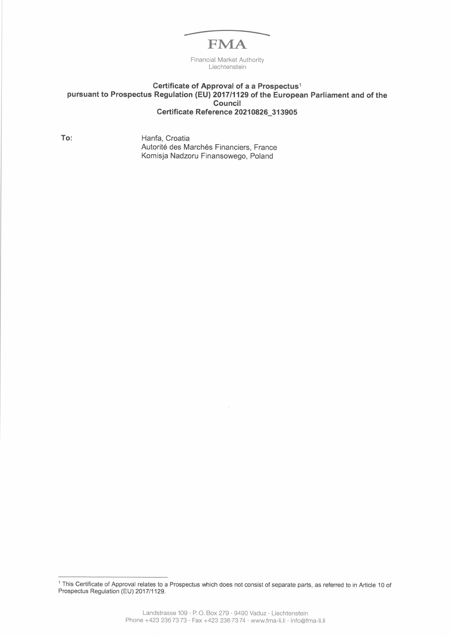## **FMA**

Financial Market Authority Liechtenstein

## Certificate of Approval of a a Prospectus<sup>1</sup> pursuant to Prospectus Regulation (EU) 201711129 of the European Parliament and of the Council Certificate Reference 20210826 31 3905

To: Hanfa, Croatia Autorité des Marchés Financiers, France Komisja Nadzoru Finansowego, Poland

<sup>1</sup> This Certificate of Approval relates to a Prospectus which does not consist of separate parts, as referred to in Article 10 of Prospectus Regulation (EU) 2017/1129.